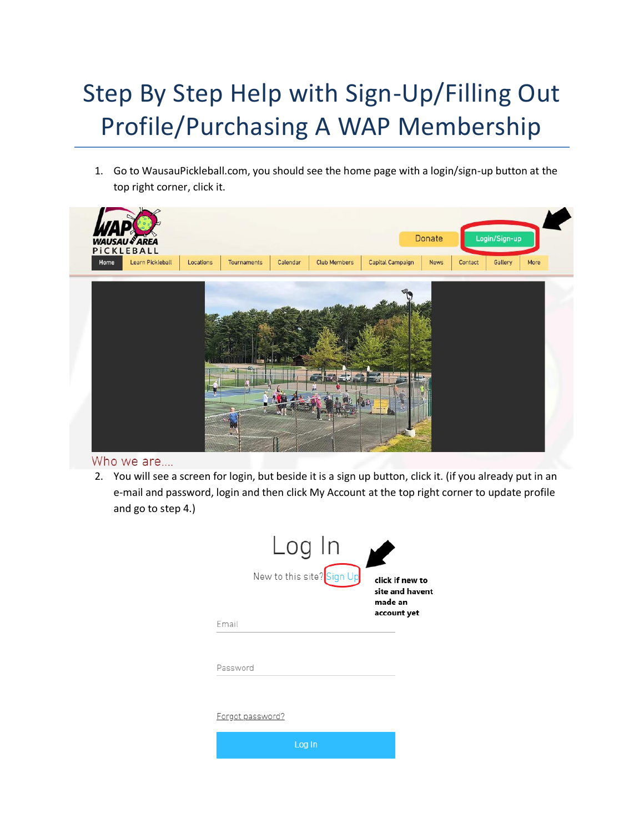# Step By Step Help with Sign-Up/Filling Out Profile/Purchasing A WAP Membership

1. Go to WausauPickleball.com, you should see the home page with a login/sign-up button at the top right corner, click it.



### Who we are....

2. You will see a screen for login, but beside it is a sign up button, click it. (if you already put in an e-mail and password, login and then click My Account at the top right corner to update profile and go to step 4.)

| Log In                    |                                                              |
|---------------------------|--------------------------------------------------------------|
| New to this site? Sign Up | click if new to<br>site and havent<br>made an<br>account yet |
| Email                     |                                                              |
|                           |                                                              |
| Password                  |                                                              |
|                           |                                                              |
| <u>Forgot password?</u>   |                                                              |
| Log In                    |                                                              |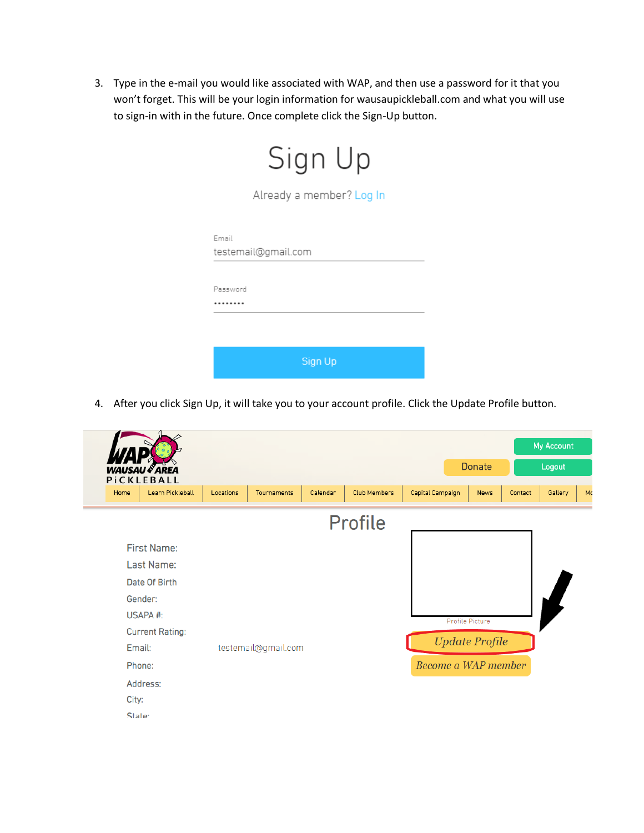3. Type in the e-mail you would like associated with WAP, and then use a password for it that you won't forget. This will be your login information for wausaupickleball.com and what you will use to sign-in with in the future. Once complete click the Sign-Up button.

| Sign Up                      |  |  |  |  |
|------------------------------|--|--|--|--|
| Already a member? Log In     |  |  |  |  |
| Email<br>testemail@gmail.com |  |  |  |  |
| Password                     |  |  |  |  |
|                              |  |  |  |  |
| Sign Up                      |  |  |  |  |

4. After you click Sign Up, it will take you to your account profile. Click the Update Profile button.

|                                        |                  |           |                     |          |                     |                     |                       |         | My Account |    |
|----------------------------------------|------------------|-----------|---------------------|----------|---------------------|---------------------|-----------------------|---------|------------|----|
| USAU & AREA<br><b>WA</b><br>PICKLEBALL |                  |           |                     |          |                     |                     | <b>Donate</b>         |         | Logout     |    |
| Home                                   | Learn Pickleball | Locations | Tournaments         | Calendar | <b>Club Members</b> | Capital Campaign    | <b>News</b>           | Contact | Gallery    | Mo |
|                                        |                  |           |                     |          | <b>Profile</b>      |                     |                       |         |            |    |
| <b>First Name:</b>                     |                  |           |                     |          |                     |                     |                       |         |            |    |
| Last Name:                             |                  |           |                     |          |                     |                     |                       |         |            |    |
| Date Of Birth                          |                  |           |                     |          |                     |                     |                       |         |            |    |
| Gender:                                |                  |           |                     |          |                     |                     |                       |         |            |    |
| USAPA #:                               |                  |           |                     |          |                     |                     | Profile Picture       |         |            |    |
| <b>Current Rating:</b>                 |                  |           |                     |          |                     |                     |                       |         |            |    |
| Email:                                 |                  |           | testemail@gmail.com |          |                     |                     | <b>Update Profile</b> |         |            |    |
| Phone:                                 |                  |           |                     |          |                     | Become a WAP member |                       |         |            |    |
| Address:                               |                  |           |                     |          |                     |                     |                       |         |            |    |
| City:                                  |                  |           |                     |          |                     |                     |                       |         |            |    |
| State:                                 |                  |           |                     |          |                     |                     |                       |         |            |    |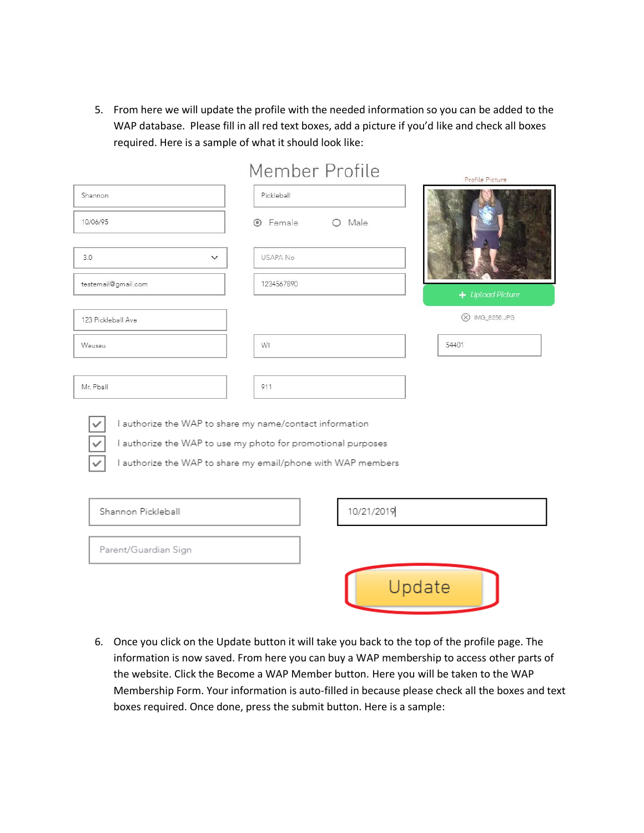5. From here we will update the profile with the needed information so you can be added to the WAP database. Please fill in all red text boxes, add a picture if you'd like and check all boxes required. Here is a sample of what it should look like:

|                                                          | Member Profile                                                                                                               | Profile Picture    |
|----------------------------------------------------------|------------------------------------------------------------------------------------------------------------------------------|--------------------|
| Shannon                                                  | Pickleball                                                                                                                   |                    |
| 10/06/95                                                 | <b>O</b> Female<br>$O$ Male                                                                                                  |                    |
| 3.0<br>$\checkmark$                                      | <b>USAPA No</b>                                                                                                              |                    |
| testemail@gmail.com                                      | 1234567890                                                                                                                   | $+$ Upload Picture |
| 123 Pickleball Ave                                       |                                                                                                                              | (X) IMG_8256.JPG   |
| Wausau                                                   | <b>WI</b>                                                                                                                    | 54401              |
|                                                          |                                                                                                                              |                    |
| Mr. Pball                                                | 911                                                                                                                          |                    |
| I authorize the WAP to share my name/contact information | I authorize the WAP to use my photo for promotional purposes<br>I authorize the WAP to share my email/phone with WAP members |                    |
| Shannon Pickleball                                       | 10/21/2019                                                                                                                   |                    |
| Parent/Guardian Sign                                     |                                                                                                                              |                    |
|                                                          |                                                                                                                              | Update             |

 $\sim$  $\mathbf{u}$  $\sum_{i=1}^{n}$ 

6. Once you click on the Update button it will take you back to the top of the profile page. The information is now saved. From here you can buy a WAP membership to access other parts of the website. Click the Become a WAP Member button. Here you will be taken to the WAP Membership Form. Your information is auto-filled in because please check all the boxes and text boxes required. Once done, press the submit button. Here is a sample: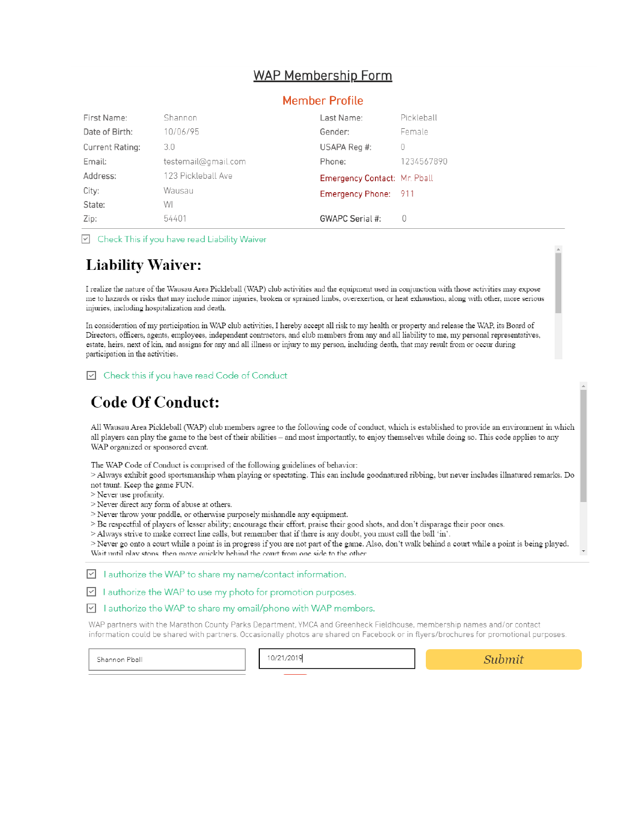## **WAP Membership Form**

#### **Member Profile**

| First Name:     | Shannon             | Last Name:                          | Pickleball |
|-----------------|---------------------|-------------------------------------|------------|
| Date of Birth:  | 10/06/95            | Gender:                             | Female     |
| Current Rating: | 3.0                 | USAPA Reg #:                        | 0          |
| Email:          | testemail@gmail.com | Phone:                              | 1234567890 |
| Address:        | 123 Pickleball Ave  | <b>Emergency Contact: Mr. Pball</b> |            |
| City:           | Wausau              | Emergency Phone: 911                |            |
| State:          | WI                  |                                     |            |
| Zip:            | 54401               | GWAPC Serial #:                     |            |

 $\boxed{\triangleright}$  Check This if you have read Liability Waiver

## **Liability Waiver:**

I realize the nature of the Wausau Area Pickleball (WAP) club activities and the equipment used in conjunction with those activities may expose me to hazards or risks that may include minor injuries, broken or sprained limbs, overexertion, or heat exhaustion, along with other, more serious injuries, including hospitalization and death.

In consideration of my participation in WAP club activities, I hereby accept all risk to my health or property and release the WAP, its Board of Directors, officers, agents, employees, independent contractors, and club members from any and all liability to me, my personal representatives, estate, heirs, next of kin, and assigns for any and all illness or injury to my person, including death, that may result from or occur during participation in the activities.

□ Check this if you have read Code of Conduct

## **Code Of Conduct:**

All Wausau Area Pickleball (WAP) club members agree to the following code of conduct, which is established to provide an environment in which all players can play the game to the best of their abilities - and most importantly, to enjoy themselves while doing so. This code applies to any WAP organized or sponsored event.

The WAP Code of Conduct is comprised of the following guidelines of behavior:

> Always exhibit good sportsmanship when playing or spectating. This can include goodnatured ribbing, but never includes illnatured remarks. Do not taunt. Keep the game FUN.

> Never use profanity.

> Never direct any form of abuse at others.

> Never throw your paddle, or otherwise purposely mishandle any equipment.

> Be respectful of players of lesser ability; encourage their effort, praise their good shots, and don't disparage their poor ones.

> Always strive to make correct line calls, but remember that if there is any doubt, you must call the ball 'in'.

> Never go onto a court while a point is in progress if you are not part of the game. Also, don't walk behind a court while a point is being played. Wait until play stops, then move quickly behind the court from one side to the other

 $\boxed{\vee}$  I authorize the WAP to share my name/contact information.

 $\boxed{\vee}$  I authorize the WAP to use my photo for promotion purposes.

 $\boxed{\vee}$  I authorize the WAP to share my email/phone with WAP members.

WAP partners with the Marathon County Parks Department, YMCA and Greenheck Fieldhouse, membership names and/or contact information could be shared with partners. Occasionally photos are shared on Facebook or in flyers/brochures for promotional purposes.

Shannon Pball

10/21/2019

Submit